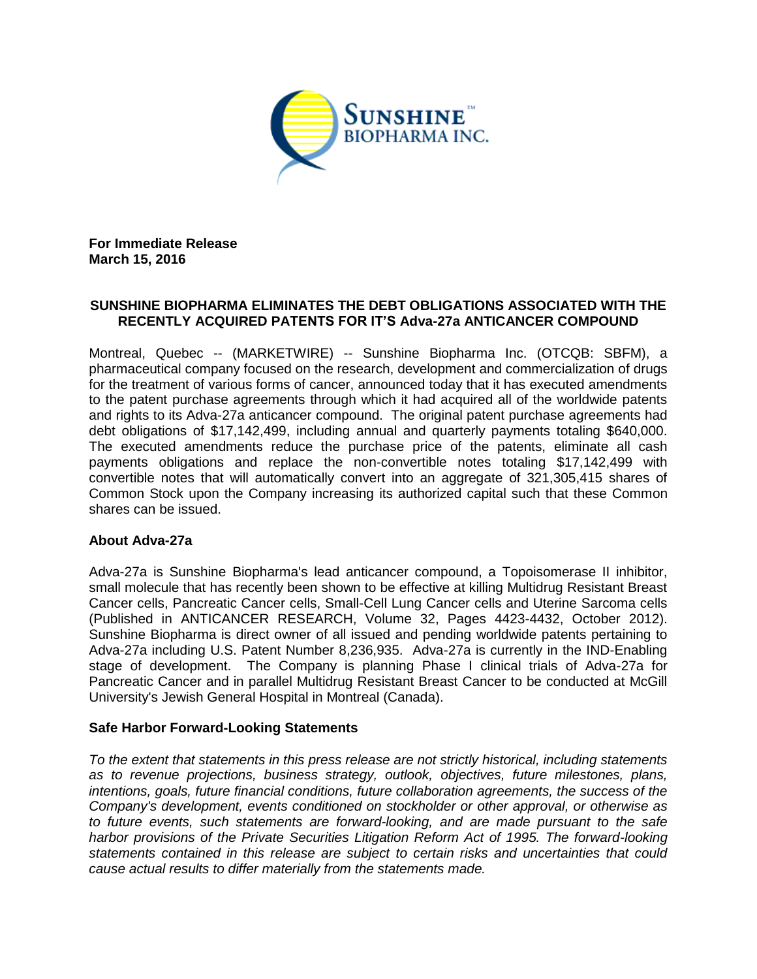

**For Immediate Release March 15, 2016**

## **SUNSHINE BIOPHARMA ELIMINATES THE DEBT OBLIGATIONS ASSOCIATED WITH THE RECENTLY ACQUIRED PATENTS FOR IT'S Adva-27a ANTICANCER COMPOUND**

Montreal, Quebec -- (MARKETWIRE) -- Sunshine Biopharma Inc. (OTCQB: SBFM), a pharmaceutical company focused on the research, development and commercialization of drugs for the treatment of various forms of cancer, announced today that it has executed amendments to the patent purchase agreements through which it had acquired all of the worldwide patents and rights to its Adva-27a anticancer compound. The original patent purchase agreements had debt obligations of \$17,142,499, including annual and quarterly payments totaling \$640,000. The executed amendments reduce the purchase price of the patents, eliminate all cash payments obligations and replace the non-convertible notes totaling \$17,142,499 with convertible notes that will automatically convert into an aggregate of 321,305,415 shares of Common Stock upon the Company increasing its authorized capital such that these Common shares can be issued.

## **About Adva-27a**

Adva-27a is Sunshine Biopharma's lead anticancer compound, a Topoisomerase II inhibitor, small molecule that has recently been shown to be effective at killing Multidrug Resistant Breast Cancer cells, Pancreatic Cancer cells, Small-Cell Lung Cancer cells and Uterine Sarcoma cells (Published in ANTICANCER RESEARCH, Volume 32, Pages 4423-4432, October 2012). Sunshine Biopharma is direct owner of all issued and pending worldwide patents pertaining to Adva-27a including U.S. Patent Number 8,236,935. Adva-27a is currently in the IND-Enabling stage of development. The Company is planning Phase I clinical trials of Adva-27a for Pancreatic Cancer and in parallel Multidrug Resistant Breast Cancer to be conducted at McGill University's Jewish General Hospital in Montreal (Canada).

## **Safe Harbor Forward-Looking Statements**

*To the extent that statements in this press release are not strictly historical, including statements as to revenue projections, business strategy, outlook, objectives, future milestones, plans, intentions, goals, future financial conditions, future collaboration agreements, the success of the Company's development, events conditioned on stockholder or other approval, or otherwise as to future events, such statements are forward-looking, and are made pursuant to the safe harbor provisions of the Private Securities Litigation Reform Act of 1995. The forward-looking statements contained in this release are subject to certain risks and uncertainties that could cause actual results to differ materially from the statements made.*